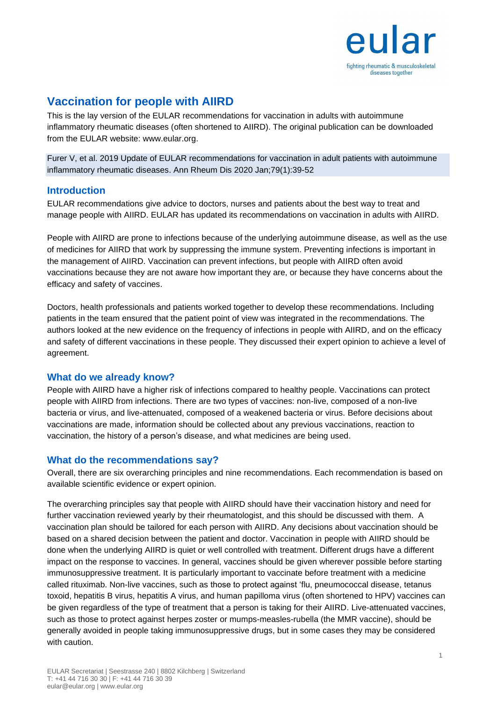

# **Vaccination for people with AIIRD**

This is the lay version of the EULAR recommendations for vaccination in adults with autoimmune inflammatory rheumatic diseases (often shortened to AIIRD). The original publication can be downloaded from the EULAR website: www.eular.org.

Furer V, et al. 2019 Update of EULAR recommendations for vaccination in adult patients with autoimmune inflammatory rheumatic diseases. Ann Rheum Dis 2020 Jan;79(1):39-52

#### **Introduction**

EULAR recommendations give advice to doctors, nurses and patients about the best way to treat and manage people with AIIRD. EULAR has updated its recommendations on vaccination in adults with AIIRD.

People with AIIRD are prone to infections because of the underlying autoimmune disease, as well as the use of medicines for AIIRD that work by suppressing the immune system. Preventing infections is important in the management of AIIRD. Vaccination can prevent infections, but people with AIIRD often avoid vaccinations because they are not aware how important they are, or because they have concerns about the efficacy and safety of vaccines.

Doctors, health professionals and patients worked together to develop these recommendations. Including patients in the team ensured that the patient point of view was integrated in the recommendations. The authors looked at the new evidence on the frequency of infections in people with AIIRD, and on the efficacy and safety of different vaccinations in these people. They discussed their expert opinion to achieve a level of agreement.

#### **What do we already know?**

People with AIIRD have a higher risk of infections compared to healthy people. Vaccinations can protect people with AIIRD from infections. There are two types of vaccines: non-live, composed of a non-live bacteria or virus, and live-attenuated, composed of a weakened bacteria or virus. Before decisions about vaccinations are made, information should be collected about any previous vaccinations, reaction to vaccination, the history of a person's disease, and what medicines are being used.

### **What do the recommendations say?**

Overall, there are six overarching principles and nine recommendations. Each recommendation is based on available scientific evidence or expert opinion.

The overarching principles say that people with AIIRD should have their vaccination history and need for further vaccination reviewed yearly by their rheumatologist, and this should be discussed with them. A vaccination plan should be tailored for each person with AIIRD. Any decisions about vaccination should be based on a shared decision between the patient and doctor. Vaccination in people with AIIRD should be done when the underlying AIIRD is quiet or well controlled with treatment. Different drugs have a different impact on the response to vaccines. In general, vaccines should be given wherever possible before starting immunosuppressive treatment. It is particularly important to vaccinate before treatment with a medicine called rituximab. Non-live vaccines, such as those to protect against 'flu, pneumococcal disease, tetanus toxoid, hepatitis B virus, hepatitis A virus, and human papilloma virus (often shortened to HPV) vaccines can be given regardless of the type of treatment that a person is taking for their AIIRD. Live-attenuated vaccines, such as those to protect against herpes zoster or mumps-measles-rubella (the MMR vaccine), should be generally avoided in people taking immunosuppressive drugs, but in some cases they may be considered with caution.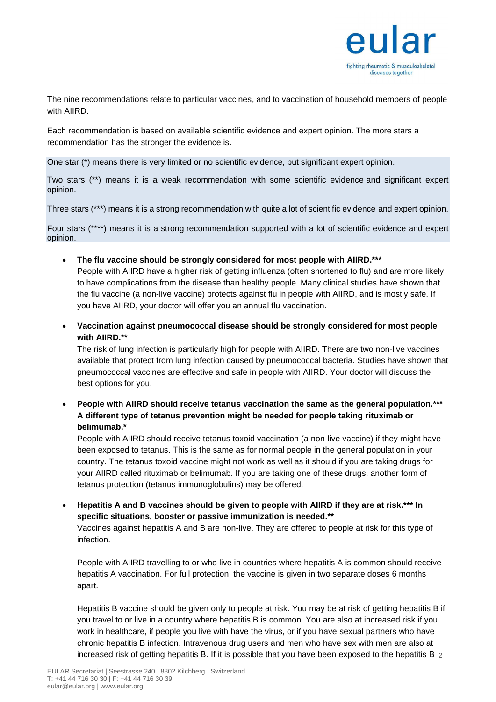

The nine recommendations relate to particular vaccines, and to vaccination of household members of people with AIIRD.

Each recommendation is based on available scientific evidence and expert opinion. The more stars a recommendation has the stronger the evidence is.

One star (\*) means there is very limited or no scientific evidence, but significant expert opinion.

Two stars (\*\*) means it is a weak recommendation with some scientific evidence and significant expert opinion.

Three stars (\*\*\*) means it is a strong recommendation with quite a lot of scientific evidence and expert opinion.

Four stars (\*\*\*\*) means it is a strong recommendation supported with a lot of scientific evidence and expert opinion.

• **The flu vaccine should be strongly considered for most people with AIIRD.\*\*\***

People with AIIRD have a higher risk of getting influenza (often shortened to flu) and are more likely to have complications from the disease than healthy people. Many clinical studies have shown that the flu vaccine (a non-live vaccine) protects against flu in people with AIIRD, and is mostly safe. If you have AIIRD, your doctor will offer you an annual flu vaccination.

• **Vaccination against pneumococcal disease should be strongly considered for most people with AIIRD.\*\***

The risk of lung infection is particularly high for people with AIIRD. There are two non-live vaccines available that protect from lung infection caused by pneumococcal bacteria. Studies have shown that pneumococcal vaccines are effective and safe in people with AIIRD. Your doctor will discuss the best options for you.

• **People with AIIRD should receive tetanus vaccination the same as the general population.\*\*\* A different type of tetanus prevention might be needed for people taking rituximab or belimumab.\***

People with AIIRD should receive tetanus toxoid vaccination (a non-live vaccine) if they might have been exposed to tetanus. This is the same as for normal people in the general population in your country. The tetanus toxoid vaccine might not work as well as it should if you are taking drugs for your AIIRD called rituximab or belimumab. If you are taking one of these drugs, another form of tetanus protection (tetanus immunoglobulins) may be offered.

• **Hepatitis A and B vaccines should be given to people with AIIRD if they are at risk.\*\*\* In specific situations, booster or passive immunization is needed.\*\***

Vaccines against hepatitis A and B are non-live. They are offered to people at risk for this type of infection.

People with AIIRD travelling to or who live in countries where hepatitis A is common should receive hepatitis A vaccination. For full protection, the vaccine is given in two separate doses 6 months apart.

increased risk of getting hepatitis B. If it is possible that you have been exposed to the hepatitis B  $_2$ Hepatitis B vaccine should be given only to people at risk. You may be at risk of getting hepatitis B if you travel to or live in a country where hepatitis B is common. You are also at increased risk if you work in healthcare, if people you live with have the virus, or if you have sexual partners who have chronic hepatitis B infection. Intravenous drug users and men who have sex with men are also at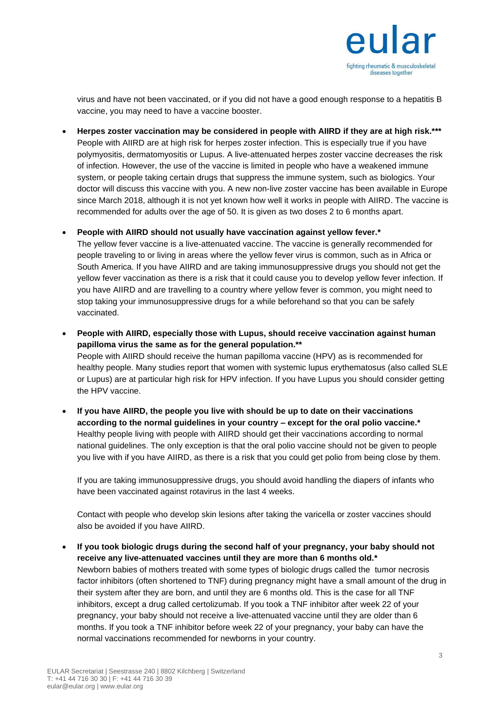

virus and have not been vaccinated, or if you did not have a good enough response to a hepatitis B vaccine, you may need to have a vaccine booster.

• **Herpes zoster vaccination may be considered in people with AIIRD if they are at high risk.\*\*\*** People with AIIRD are at high risk for herpes zoster infection. This is especially true if you have polymyositis, dermatomyositis or Lupus. A live-attenuated herpes zoster vaccine decreases the risk of infection. However, the use of the vaccine is limited in people who have a weakened immune system, or people taking certain drugs that suppress the immune system, such as biologics. Your doctor will discuss this vaccine with you. A new non-live zoster vaccine has been available in Europe since March 2018, although it is not yet known how well it works in people with AIIRD. The vaccine is recommended for adults over the age of 50. It is given as two doses 2 to 6 months apart.

• **People with AIIRD should not usually have vaccination against yellow fever.\***

The yellow fever vaccine is a live-attenuated vaccine. The vaccine is generally recommended for people traveling to or living in areas where the yellow fever virus is common, such as in Africa or South America. If you have AIIRD and are taking immunosuppressive drugs you should not get the yellow fever vaccination as there is a risk that it could cause you to develop yellow fever infection. If you have AIIRD and are travelling to a country where yellow fever is common, you might need to stop taking your immunosuppressive drugs for a while beforehand so that you can be safely vaccinated.

• **People with AIIRD, especially those with Lupus, should receive vaccination against human papilloma virus the same as for the general population.\*\*** People with AIIRD should receive the human papilloma vaccine (HPV) as is recommended for healthy people. Many studies report that women with systemic lupus erythematosus (also called SLE or Lupus) are at particular high risk for HPV infection. If you have Lupus you should consider getting the HPV vaccine.

• **If you have AIIRD, the people you live with should be up to date on their vaccinations according to the normal guidelines in your country – except for the oral polio vaccine.\*** Healthy people living with people with AIIRD should get their vaccinations according to normal national guidelines. The only exception is that the oral polio vaccine should not be given to people you live with if you have AIIRD, as there is a risk that you could get polio from being close by them.

If you are taking immunosuppressive drugs, you should avoid handling the diapers of infants who have been vaccinated against rotavirus in the last 4 weeks.

Contact with people who develop skin lesions after taking the varicella or zoster vaccines should also be avoided if you have AIIRD.

• **If you took biologic drugs during the second half of your pregnancy, your baby should not receive any live-attenuated vaccines until they are more than 6 months old.\*** Newborn babies of mothers treated with some types of biologic drugs called the tumor necrosis factor inhibitors (often shortened to TNF) during pregnancy might have a small amount of the drug in their system after they are born, and until they are 6 months old. This is the case for all TNF inhibitors, except a drug called certolizumab. If you took a TNF inhibitor after week 22 of your pregnancy, your baby should not receive a live-attenuated vaccine until they are older than 6 months. If you took a TNF inhibitor before week 22 of your pregnancy, your baby can have the normal vaccinations recommended for newborns in your country.